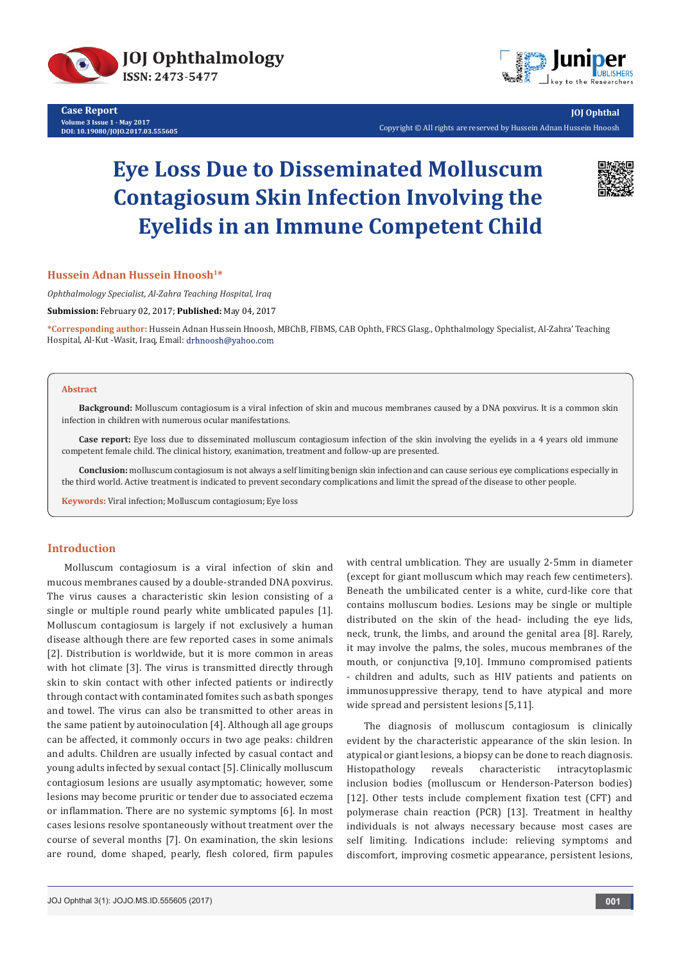

**Case Report Volume 3 Issue 1 - May 2017 DOI: [10.19080/JOJO.2017.03.555605](http://dx.doi.org/10.19080/JOJO.2017.03.555605)**



**JOJ Ophthal** Copyright © All rights are reserved by Hussein Adnan Hussein Hnoosh

# **Eye Loss Due to Disseminated Molluscum Contagiosum Skin Infection Involving the Eyelids in an Immune Competent Child**



#### **Hussein Adnan Hussein Hnoosh1\***

*Ophthalmology Specialist, Al-Zahra Teaching Hospital, Iraq*

**Submission:** February 02, 2017; **Published:** May 04, 2017

**\*Corresponding author:** Hussein Adnan Hussein Hnoosh, MBChB, FIBMS, CAB Ophth, FRCS Glasg., Ophthalmology Specialist, Al-Zahra' Teaching Hospital, Al-Kut -Wasit, Iraq, Email: drhnoosh@yahoo.com

#### **Abstract**

**Background:** Molluscum contagiosum is a viral infection of skin and mucous membranes caused by a DNA poxvirus. It is a common skin infection in children with numerous ocular manifestations.

**Case report:** Eye loss due to disseminated molluscum contagiosum infection of the skin involving the eyelids in a 4 years old immune competent female child. The clinical history, exanimation, treatment and follow-up are presented.

**Conclusion:** molluscum contagiosum is not always a self limiting benign skin infection and can cause serious eye complications especially in the third world. Active treatment is indicated to prevent secondary complications and limit the spread of the disease to other people.

**Keywords:** Viral infection; Molluscum contagiosum; Eye loss

## **Introduction**

Molluscum contagiosum is a viral infection of skin and mucous membranes caused by a double-stranded DNA poxvirus. The virus causes a characteristic skin lesion consisting of a single or multiple round pearly white umblicated papules [1]. Molluscum contagiosum is largely if not exclusively a human disease although there are few reported cases in some animals [2]. Distribution is worldwide, but it is more common in areas with hot climate [3]. The virus is transmitted directly through skin to skin contact with other infected patients or indirectly through contact with contaminated fomites such as bath sponges and towel. The virus can also be transmitted to other areas in the same patient by autoinoculation [4]. Although all age groups can be affected, it commonly occurs in two age peaks: children and adults. Children are usually infected by casual contact and young adults infected by sexual contact [5]. Clinically molluscum contagiosum lesions are usually asymptomatic; however, some lesions may become pruritic or tender due to associated eczema or inflammation. There are no systemic symptoms [6]. In most cases lesions resolve spontaneously without treatment over the course of several months [7]. On examination, the skin lesions are round, dome shaped, pearly, flesh colored, firm papules

with central umblication. They are usually 2-5mm in diameter (except for giant molluscum which may reach few centimeters). Beneath the umbilicated center is a white, curd-like core that contains molluscum bodies. Lesions may be single or multiple distributed on the skin of the head- including the eye lids, neck, trunk, the limbs, and around the genital area [8]. Rarely, it may involve the palms, the soles, mucous membranes of the mouth, or conjunctiva [9,10]. Immuno compromised patients - children and adults, such as HIV patients and patients on immunosuppressive therapy, tend to have atypical and more wide spread and persistent lesions [5,11].

The diagnosis of molluscum contagiosum is clinically evident by the characteristic appearance of the skin lesion. In atypical or giant lesions, a biopsy can be done to reach diagnosis. Histopathology reveals characteristic intracytoplasmic inclusion bodies (molluscum or Henderson-Paterson bodies) [12]. Other tests include complement fixation test (CFT) and polymerase chain reaction (PCR) [13]. Treatment in healthy individuals is not always necessary because most cases are self limiting. Indications include: relieving symptoms and discomfort, improving cosmetic appearance, persistent lesions,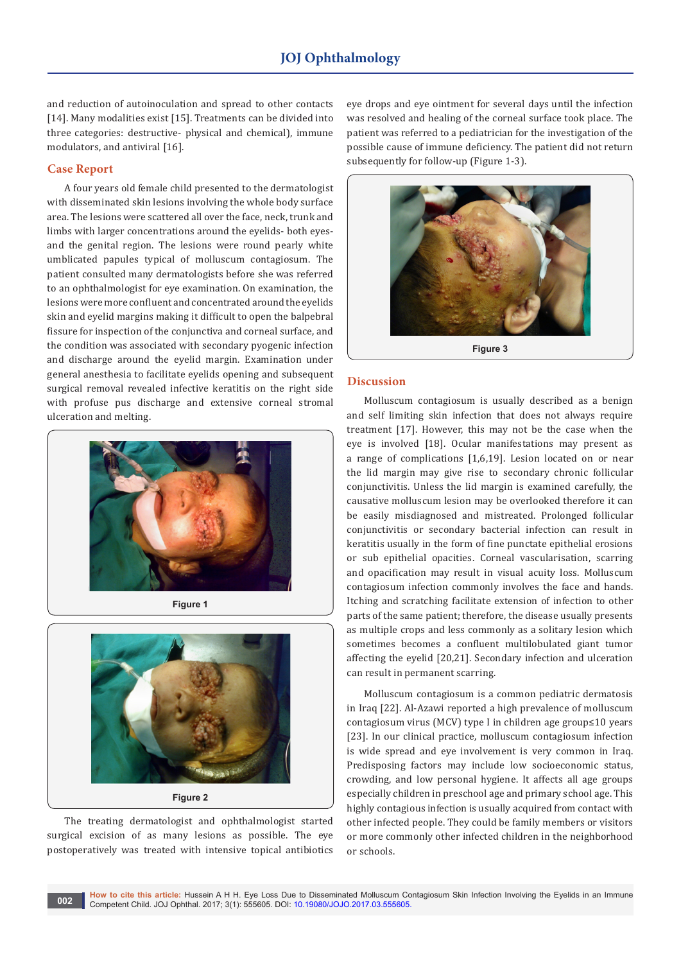and reduction of autoinoculation and spread to other contacts [14]. Many modalities exist [15]. Treatments can be divided into three categories: destructive- physical and chemical), immune modulators, and antiviral [16].

### **Case Report**

A four years old female child presented to the dermatologist with disseminated skin lesions involving the whole body surface area. The lesions were scattered all over the face, neck, trunk and limbs with larger concentrations around the eyelids- both eyesand the genital region. The lesions were round pearly white umblicated papules typical of molluscum contagiosum. The patient consulted many dermatologists before she was referred to an ophthalmologist for eye examination. On examination, the lesions were more confluent and concentrated around the eyelids skin and eyelid margins making it difficult to open the balpebral fissure for inspection of the conjunctiva and corneal surface, and the condition was associated with secondary pyogenic infection and discharge around the eyelid margin. Examination under general anesthesia to facilitate eyelids opening and subsequent surgical removal revealed infective keratitis on the right side with profuse pus discharge and extensive corneal stromal ulceration and melting.



**Figure 1**



**Figure 2**

The treating dermatologist and ophthalmologist started surgical excision of as many lesions as possible. The eye postoperatively was treated with intensive topical antibiotics eye drops and eye ointment for several days until the infection was resolved and healing of the corneal surface took place. The patient was referred to a pediatrician for the investigation of the possible cause of immune deficiency. The patient did not return subsequently for follow-up (Figure 1-3).



## **Discussion**

Molluscum contagiosum is usually described as a benign and self limiting skin infection that does not always require treatment [17]. However, this may not be the case when the eye is involved [18]. Ocular manifestations may present as a range of complications [1,6,19]. Lesion located on or near the lid margin may give rise to secondary chronic follicular conjunctivitis. Unless the lid margin is examined carefully, the causative molluscum lesion may be overlooked therefore it can be easily misdiagnosed and mistreated. Prolonged follicular conjunctivitis or secondary bacterial infection can result in keratitis usually in the form of fine punctate epithelial erosions or sub epithelial opacities. Corneal vascularisation, scarring and opacification may result in visual acuity loss. Molluscum contagiosum infection commonly involves the face and hands. Itching and scratching facilitate extension of infection to other parts of the same patient; therefore, the disease usually presents as multiple crops and less commonly as a solitary lesion which sometimes becomes a confluent multilobulated giant tumor affecting the eyelid [20,21]. Secondary infection and ulceration can result in permanent scarring.

Molluscum contagiosum is a common pediatric dermatosis in Iraq [22]. Al-Azawi reported a high prevalence of molluscum contagiosum virus (MCV) type I in children age group≤10 years [23]. In our clinical practice, molluscum contagiosum infection is wide spread and eye involvement is very common in Iraq. Predisposing factors may include low socioeconomic status, crowding, and low personal hygiene. It affects all age groups especially children in preschool age and primary school age. This highly contagious infection is usually acquired from contact with other infected people. They could be family members or visitors or more commonly other infected children in the neighborhood or schools.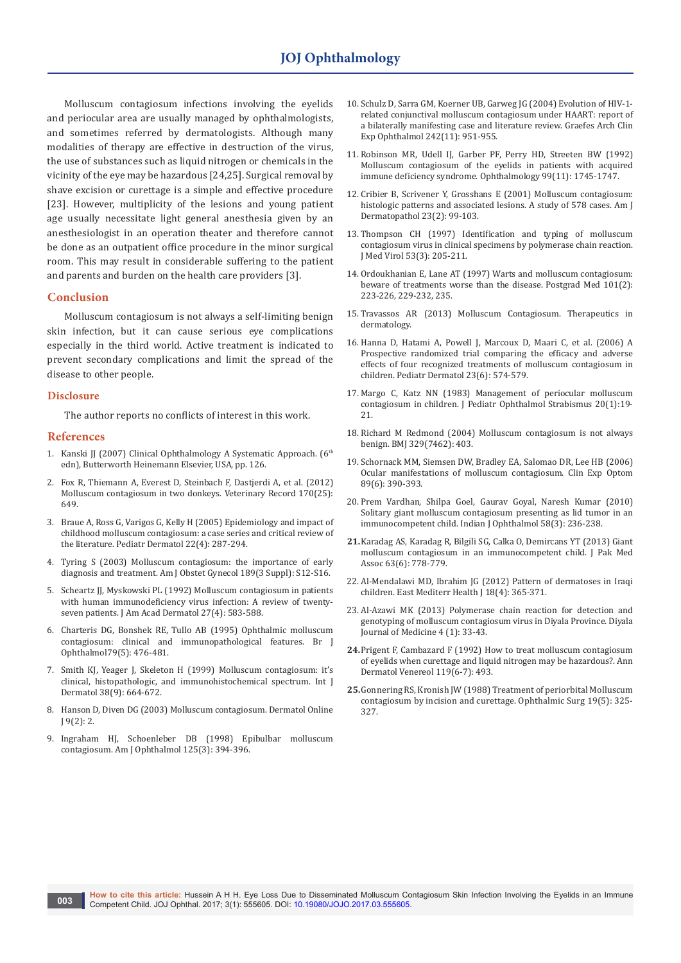Molluscum contagiosum infections involving the eyelids and periocular area are usually managed by ophthalmologists, and sometimes referred by dermatologists. Although many modalities of therapy are effective in destruction of the virus, the use of substances such as liquid nitrogen or chemicals in the vicinity of the eye may be hazardous [24,25]. Surgical removal by shave excision or curettage is a simple and effective procedure [23]. However, multiplicity of the lesions and young patient age usually necessitate light general anesthesia given by an anesthesiologist in an operation theater and therefore cannot be done as an outpatient office procedure in the minor surgical room. This may result in considerable suffering to the patient and parents and burden on the health care providers [3].

#### **Conclusion**

Molluscum contagiosum is not always a self-limiting benign skin infection, but it can cause serious eye complications especially in the third world. Active treatment is indicated to prevent secondary complications and limit the spread of the disease to other people.

#### **Disclosure**

The author reports no conflicts of interest in this work.

#### **References**

- 1. Kanski JJ (2007) Clinical Ophthalmology A Systematic Approach. (6<sup>th</sup> edn), Butterworth Heinemann Elsevier, USA, pp. 126.
- 2. [Fox R, Thiemann A, Everest D, Steinbach F, Dastjerdi A, et al. \(2012\)](https://www.ncbi.nlm.nih.gov/pubmed/22645156)  [Molluscum contagiosum in two donkeys. Veterinary Record 170\(25\):](https://www.ncbi.nlm.nih.gov/pubmed/22645156)  [649.](https://www.ncbi.nlm.nih.gov/pubmed/22645156)
- 3. [Braue A, Ross G, Varigos G, Kelly H \(2005\) Epidemiology and impact of](https://www.ncbi.nlm.nih.gov/pubmed/16060861)  [childhood molluscum contagiosum: a case series and critical review of](https://www.ncbi.nlm.nih.gov/pubmed/16060861)  [the literature. Pediatr Dermatol 22\(4\): 287-294.](https://www.ncbi.nlm.nih.gov/pubmed/16060861)
- 4. Tyring S (2003) [Molluscum contagiosum: the importance of early](https://www.ncbi.nlm.nih.gov/pubmed/14532898)  diagnosis and treatment. [Am J Obstet Gynecol 189\(3 Suppl\): S12-S16.](https://www.ncbi.nlm.nih.gov/pubmed/14532898)
- 5. [Scheartz JJ, Myskowski PL \(1992\) Molluscum contagiosum in patients](https://www.ncbi.nlm.nih.gov/pubmed/1357010)  [with human immunodeficiency virus infection: A review of twenty](https://www.ncbi.nlm.nih.gov/pubmed/1357010)seven patients. [J Am Acad Dermatol 27\(4\): 583-588.](https://www.ncbi.nlm.nih.gov/pubmed/1357010)
- 6. [Charteris DG, Bonshek RE, Tullo AB \(1995\) Ophthalmic molluscum](https://www.ncbi.nlm.nih.gov/pubmed/7612562/)  [contagiosum: clinical and immunopathological features. Br J](https://www.ncbi.nlm.nih.gov/pubmed/7612562/)  [Ophthalmol79\(5\): 476-481.](https://www.ncbi.nlm.nih.gov/pubmed/7612562/)
- 7. [Smith KJ, Yeager J, Skeleton H \(1999\)](https://www.ncbi.nlm.nih.gov/pubmed/10517682) Molluscum contagiosum: it's [clinical, histopathologic, and immunohistochemical spectrum.](https://www.ncbi.nlm.nih.gov/pubmed/10517682) Int J Dermatol [38\(9\): 664-672.](https://www.ncbi.nlm.nih.gov/pubmed/10517682)
- 8. [Hanson D, Diven DG \(2003\) Molluscum contagiosum. Dermatol Online](https://www.ncbi.nlm.nih.gov/pubmed/12639455)  [J 9\(2\): 2.](https://www.ncbi.nlm.nih.gov/pubmed/12639455)
- 9. [Ingraham HJ, Schoenleber DB \(1998\) Epibulbar molluscum](https://www.ncbi.nlm.nih.gov/pubmed/9512162)  [contagiosum. Am J Ophthalmol 125\(3\): 394-396.](https://www.ncbi.nlm.nih.gov/pubmed/9512162)
- 10. [Schulz D, Sarra GM, Koerner UB, Garweg JG \(2004\) Evolution of HIV-1](https://www.ncbi.nlm.nih.gov/pubmed/15221307) [related conjunctival molluscum contagiosum under HAART: report of](https://www.ncbi.nlm.nih.gov/pubmed/15221307)  [a bilaterally manifesting case and literature review. Graefes Arch Clin](https://www.ncbi.nlm.nih.gov/pubmed/15221307)  [Exp Ophthalmol 242\(11\): 951-955.](https://www.ncbi.nlm.nih.gov/pubmed/15221307)
- 11. [Robinson MR, Udell IJ, Garber PF, Perry HD, Streeten BW \(1992\)](https://www.ncbi.nlm.nih.gov/pubmed/1454352)  [Molluscum contagiosum of the eyelids in patients with acquired](https://www.ncbi.nlm.nih.gov/pubmed/1454352)  [immune deficiency syndrome. Ophthalmology 99\(11\): 1745-1747.](https://www.ncbi.nlm.nih.gov/pubmed/1454352)
- 12. [Cribier B, Scrivener Y, Grosshans E \(2001\) Molluscum contagiosum:](https://www.ncbi.nlm.nih.gov/pubmed/11285403)  [histologic patterns and associated lesions. A study of 578 cases. Am J](https://www.ncbi.nlm.nih.gov/pubmed/11285403)  [Dermatopathol 23\(2\): 99-103.](https://www.ncbi.nlm.nih.gov/pubmed/11285403)
- 13. [Thompson CH \(1997\) Identification and typing of molluscum](https://www.ncbi.nlm.nih.gov/pubmed/9365883)  [contagiosum virus in clinical specimens by polymerase chain reaction.](https://www.ncbi.nlm.nih.gov/pubmed/9365883)  [J Med Virol 53\(3\): 205-211.](https://www.ncbi.nlm.nih.gov/pubmed/9365883)
- 14. [Ordoukhanian E, Lane AT \(1997\) Warts and molluscum contagiosum:](https://www.ncbi.nlm.nih.gov/pubmed/9046937)  [beware of treatments worse than the disease. Postgrad Med 101\(2\):](https://www.ncbi.nlm.nih.gov/pubmed/9046937)  [223-226, 229-232, 235.](https://www.ncbi.nlm.nih.gov/pubmed/9046937)
- 15. [Travassos AR \(2013\) Molluscum Contagiosum. Therapeutics in](http://www.therapeutique-dermatologique.org/spip.php?article1561)  [dermatology.](http://www.therapeutique-dermatologique.org/spip.php?article1561)
- 16. [Hanna D, Hatami A, Powell J, Marcoux D, Maari C, et al. \(2006\) A](https://www.ncbi.nlm.nih.gov/pubmed/17156002)  [Prospective randomized trial comparing the efficacy and adverse](https://www.ncbi.nlm.nih.gov/pubmed/17156002)  [effects of four recognized treatments of molluscum contagiosum in](https://www.ncbi.nlm.nih.gov/pubmed/17156002)  children. [Pediatr Dermatol 23\(6\): 574-579.](https://www.ncbi.nlm.nih.gov/pubmed/17156002)
- 17. [Margo C, Katz NN \(1983\) Management of periocular molluscum](https://www.ncbi.nlm.nih.gov/pubmed/6864411)  [contagiosum in children. J Pediatr Ophthalmol Strabismus 20\(1\):19-](https://www.ncbi.nlm.nih.gov/pubmed/6864411) [21.](https://www.ncbi.nlm.nih.gov/pubmed/6864411)
- 18. [Richard M Redmond \(2004\) Molluscum contagiosum is not always](https://www.ncbi.nlm.nih.gov/pubmed/15310623/)  benign. [BMJ 329\(7462\): 403.](https://www.ncbi.nlm.nih.gov/pubmed/15310623/)
- 19. [Schornack MM, Siemsen DW, Bradley EA, Salomao DR, Lee HB \(2006\)](https://www.ncbi.nlm.nih.gov/pubmed/17026608)  [Ocular manifestations of molluscum contagiosum. Clin Exp Optom](https://www.ncbi.nlm.nih.gov/pubmed/17026608)  [89\(6\): 390-393.](https://www.ncbi.nlm.nih.gov/pubmed/17026608)
- 20. [Prem Vardhan, Shilpa Goel, Gaurav Goyal, Naresh Kumar \(2010\)](https://www.ncbi.nlm.nih.gov/pubmed/20413930/)  [Solitary giant molluscum contagiosum presenting as lid tumor in an](https://www.ncbi.nlm.nih.gov/pubmed/20413930/)  [immunocompetent child. Indian J Ophthalmol 58\(3\): 236-238.](https://www.ncbi.nlm.nih.gov/pubmed/20413930/)
- **21.**[Karadag AS, Karadag R, Bilgili SG, Calka O, Demircans YT \(2013\) Giant](https://www.ncbi.nlm.nih.gov/pubmed/23901686)  [molluscum contagiosum in an immunocompetent child. J Pak Med](https://www.ncbi.nlm.nih.gov/pubmed/23901686)  [Assoc 63\(6\): 778-779.](https://www.ncbi.nlm.nih.gov/pubmed/23901686)
- 22. [Al-Mendalawi MD, Ibrahim JG \(2012\) Pattern of dermatoses in Iraqi](https://www.ncbi.nlm.nih.gov/pubmed/22768699)  [children. East Mediterr Health J 18\(4\): 365-371.](https://www.ncbi.nlm.nih.gov/pubmed/22768699)
- 23. [Al-Azawi MK \(2013\) Polymerase chain reaction for detection and](http://www.iasj.net/iasj?func=fulltext&aId=80404)  [genotyping of molluscum contagiosum virus in Diyala Province. Diyala](http://www.iasj.net/iasj?func=fulltext&aId=80404)  [Journal of Medicine 4 \(1\): 33-43.](http://www.iasj.net/iasj?func=fulltext&aId=80404)
- **24.**Prigent F, Cambazard F (1992) [How to treat molluscum contagiosum](https://www.ncbi.nlm.nih.gov/pubmed/1444111)  [of eyelids when curettage and liquid nitrogen may be hazardous?. Ann](https://www.ncbi.nlm.nih.gov/pubmed/1444111)  [Dermatol Venereol 119\(6-7\): 493.](https://www.ncbi.nlm.nih.gov/pubmed/1444111)
- **25.**Gonnering RS, Kronish JW (1988) Treatment of periorbital Molluscum contagiosum by incision and curettage. Ophthalmic Surg 19(5): 325- 327.